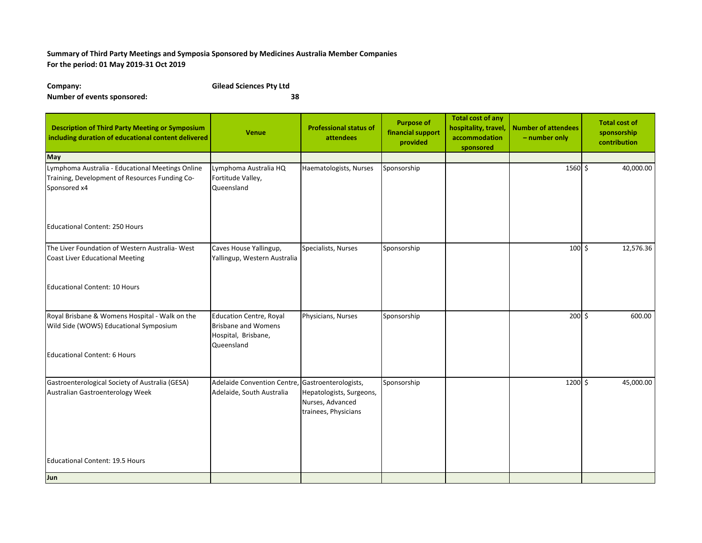## **Summary of Third Party Meetings and Symposia Sponsored by Medicines Australia Member Companies For the period: 01 May 2019-31 Oct 2019**

**Company: Gilead Sciences Pty Ltd Number of events sponsored: 38**

| <b>Description of Third Party Meeting or Symposium</b><br>including duration of educational content delivered      | <b>Venue</b>                                                                                      | <b>Professional status of</b><br><b>attendees</b>                    | <b>Purpose of</b><br>financial support<br>provided | <b>Total cost of any</b><br>hospitality, travel,<br>accommodation<br>sponsored | <b>Number of attendees</b><br>- number only | <b>Total cost of</b><br>sponsorship<br>contribution |
|--------------------------------------------------------------------------------------------------------------------|---------------------------------------------------------------------------------------------------|----------------------------------------------------------------------|----------------------------------------------------|--------------------------------------------------------------------------------|---------------------------------------------|-----------------------------------------------------|
| May                                                                                                                |                                                                                                   |                                                                      |                                                    |                                                                                |                                             |                                                     |
| Lymphoma Australia - Educational Meetings Online<br>Training, Development of Resources Funding Co-<br>Sponsored x4 | Lymphoma Australia HQ<br>Fortitude Valley,<br>Queensland                                          | Haematologists, Nurses                                               | Sponsorship                                        |                                                                                | $\frac{1}{1560}$ \$                         | 40,000.00                                           |
| Educational Content: 250 Hours                                                                                     |                                                                                                   |                                                                      |                                                    |                                                                                |                                             |                                                     |
| The Liver Foundation of Western Australia- West                                                                    | Caves House Yallingup,                                                                            | Specialists, Nurses                                                  | Sponsorship                                        |                                                                                | $100 \,$ \$                                 | 12,576.36                                           |
| Coast Liver Educational Meeting                                                                                    | Yallingup, Western Australia                                                                      |                                                                      |                                                    |                                                                                |                                             |                                                     |
| <b>Educational Content: 10 Hours</b>                                                                               |                                                                                                   |                                                                      |                                                    |                                                                                |                                             |                                                     |
| Royal Brisbane & Womens Hospital - Walk on the<br>Wild Side (WOWS) Educational Symposium                           | <b>Education Centre, Royal</b><br><b>Brisbane and Womens</b><br>Hospital, Brisbane,<br>Queensland | Physicians, Nurses                                                   | Sponsorship                                        |                                                                                | $200$ \$                                    | 600.00                                              |
| <b>Educational Content: 6 Hours</b>                                                                                |                                                                                                   |                                                                      |                                                    |                                                                                |                                             |                                                     |
| Gastroenterological Society of Australia (GESA)<br>Australian Gastroenterology Week                                | Adelaide Convention Centre, Gastroenterologists,<br>Adelaide, South Australia                     | Hepatologists, Surgeons,<br>Nurses, Advanced<br>trainees, Physicians | Sponsorship                                        |                                                                                | 1200 \$                                     | 45,000.00                                           |
| Educational Content: 19.5 Hours                                                                                    |                                                                                                   |                                                                      |                                                    |                                                                                |                                             |                                                     |
| Jun                                                                                                                |                                                                                                   |                                                                      |                                                    |                                                                                |                                             |                                                     |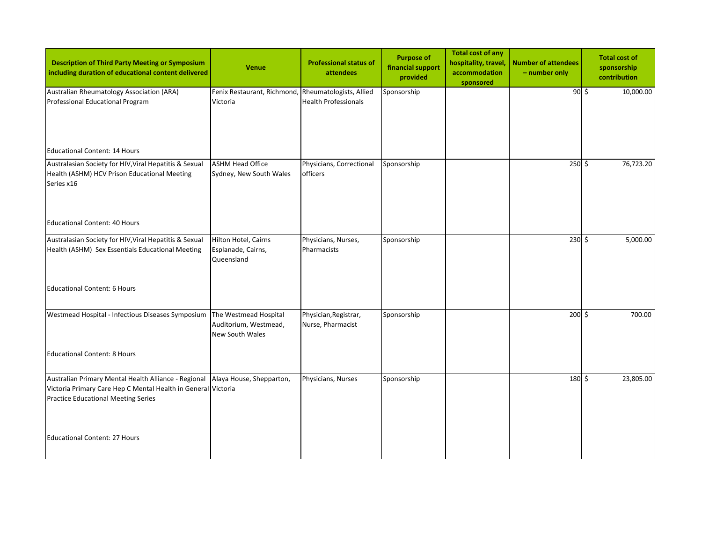| <b>Description of Third Party Meeting or Symposium</b><br>including duration of educational content delivered                                                       | <b>Venue</b>                                                             | <b>Professional status of</b><br><b>attendees</b> | <b>Purpose of</b><br>financial support<br>provided | <b>Total cost of any</b><br>hospitality, travel,<br>accommodation<br>sponsored | <b>Number of attendees</b><br>- number only | <b>Total cost of</b><br>sponsorship<br>contribution |
|---------------------------------------------------------------------------------------------------------------------------------------------------------------------|--------------------------------------------------------------------------|---------------------------------------------------|----------------------------------------------------|--------------------------------------------------------------------------------|---------------------------------------------|-----------------------------------------------------|
| Australian Rheumatology Association (ARA)<br>Professional Educational Program                                                                                       | Fenix Restaurant, Richmond, Rheumatologists, Allied<br>Victoria          | <b>Health Professionals</b>                       | Sponsorship                                        |                                                                                | $\frac{1}{90}$ \$                           | 10,000.00                                           |
| <b>Educational Content: 14 Hours</b>                                                                                                                                |                                                                          |                                                   |                                                    |                                                                                |                                             |                                                     |
| Australasian Society for HIV, Viral Hepatitis & Sexual<br>Health (ASHM) HCV Prison Educational Meeting<br>Series x16                                                | <b>ASHM Head Office</b><br>Sydney, New South Wales                       | Physicians, Correctional<br>officers              | Sponsorship                                        |                                                                                | $\overline{250}$ \$                         | 76,723.20                                           |
| <b>Educational Content: 40 Hours</b>                                                                                                                                |                                                                          |                                                   |                                                    |                                                                                |                                             |                                                     |
| Australasian Society for HIV, Viral Hepatitis & Sexual<br>Health (ASHM) Sex Essentials Educational Meeting                                                          | Hilton Hotel, Cairns<br>Esplanade, Cairns,<br>Queensland                 | Physicians, Nurses,<br>Pharmacists                | Sponsorship                                        |                                                                                | $230 \div$                                  | 5,000.00                                            |
| <b>Educational Content: 6 Hours</b>                                                                                                                                 |                                                                          |                                                   |                                                    |                                                                                |                                             |                                                     |
| Westmead Hospital - Infectious Diseases Symposium                                                                                                                   | The Westmead Hospital<br>Auditorium, Westmead,<br><b>New South Wales</b> | Physician, Registrar,<br>Nurse, Pharmacist        | Sponsorship                                        |                                                                                | $200$ \$                                    | 700.00                                              |
| <b>Educational Content: 8 Hours</b>                                                                                                                                 |                                                                          |                                                   |                                                    |                                                                                |                                             |                                                     |
| Australian Primary Mental Health Alliance - Regional<br>Victoria Primary Care Hep C Mental Health in General Victoria<br><b>Practice Educational Meeting Series</b> | Alaya House, Shepparton,                                                 | Physicians, Nurses                                | Sponsorship                                        |                                                                                | 180 \$                                      | 23,805.00                                           |
| <b>Educational Content: 27 Hours</b>                                                                                                                                |                                                                          |                                                   |                                                    |                                                                                |                                             |                                                     |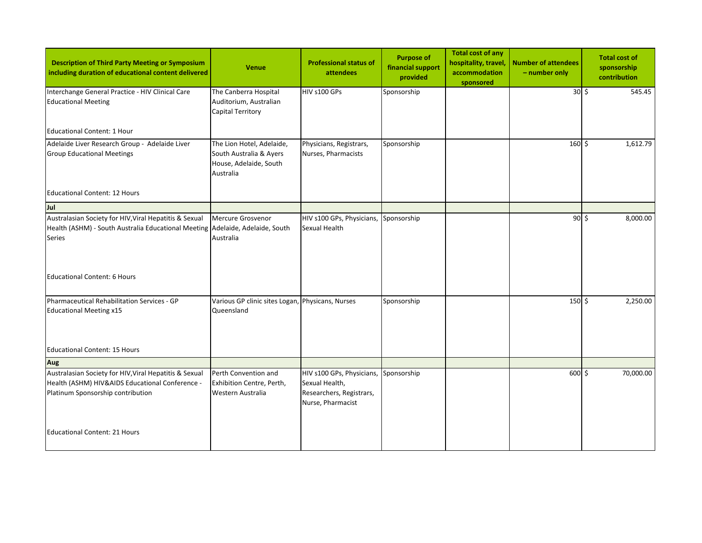| <b>Description of Third Party Meeting or Symposium</b><br>including duration of educational content delivered                                                                          | <b>Venue</b>                                                                                | <b>Professional status of</b><br>attendees                                                   | <b>Purpose of</b><br>financial support<br>provided | Total cost of any<br>hospitality, travel,<br>accommodation<br>sponsored | <b>Number of attendees</b><br>- number only | <b>Total cost of</b><br>sponsorship<br>contribution |
|----------------------------------------------------------------------------------------------------------------------------------------------------------------------------------------|---------------------------------------------------------------------------------------------|----------------------------------------------------------------------------------------------|----------------------------------------------------|-------------------------------------------------------------------------|---------------------------------------------|-----------------------------------------------------|
| Interchange General Practice - HIV Clinical Care<br><b>Educational Meeting</b>                                                                                                         | The Canberra Hospital<br>Auditorium, Australian<br>Capital Territory                        | HIV s100 GPs                                                                                 | Sponsorship                                        |                                                                         | $30 \div$                                   | 545.45                                              |
| Educational Content: 1 Hour                                                                                                                                                            |                                                                                             |                                                                                              |                                                    |                                                                         |                                             |                                                     |
| Adelaide Liver Research Group - Adelaide Liver<br><b>Group Educational Meetings</b>                                                                                                    | The Lion Hotel, Adelaide,<br>South Australia & Ayers<br>House, Adelaide, South<br>Australia | Physicians, Registrars,<br>Nurses, Pharmacists                                               | Sponsorship                                        |                                                                         | $160 \div$                                  | 1,612.79                                            |
| <b>Educational Content: 12 Hours</b>                                                                                                                                                   |                                                                                             |                                                                                              |                                                    |                                                                         |                                             |                                                     |
| Jul                                                                                                                                                                                    |                                                                                             |                                                                                              |                                                    |                                                                         |                                             |                                                     |
| Australasian Society for HIV, Viral Hepatitis & Sexual<br>Health (ASHM) - South Australia Educational Meeting Adelaide, Adelaide, South<br><b>Series</b>                               | Mercure Grosvenor<br>Australia                                                              | HIV s100 GPs, Physicians,<br>Sexual Health                                                   | Sponsorship                                        |                                                                         | $90$ \$                                     | 8,000.00                                            |
| Educational Content: 6 Hours                                                                                                                                                           |                                                                                             |                                                                                              |                                                    |                                                                         |                                             |                                                     |
| Pharmaceutical Rehabilitation Services - GP<br><b>Educational Meeting x15</b>                                                                                                          | Various GP clinic sites Logan, Physicans, Nurses<br>Queensland                              |                                                                                              | Sponsorship                                        |                                                                         | 150 \$                                      | 2,250.00                                            |
| <b>Educational Content: 15 Hours</b>                                                                                                                                                   |                                                                                             |                                                                                              |                                                    |                                                                         |                                             |                                                     |
| Aug                                                                                                                                                                                    |                                                                                             |                                                                                              |                                                    |                                                                         |                                             |                                                     |
| Australasian Society for HIV, Viral Hepatitis & Sexual<br>Health (ASHM) HIV&AIDS Educational Conference -<br>Platinum Sponsorship contribution<br><b>Educational Content: 21 Hours</b> | Perth Convention and<br>Exhibition Centre, Perth,<br>Western Australia                      | HIV s100 GPs, Physicians,<br>Sexual Health,<br>Researchers, Registrars,<br>Nurse, Pharmacist | Sponsorship                                        |                                                                         | 600 \$                                      | 70,000.00                                           |
|                                                                                                                                                                                        |                                                                                             |                                                                                              |                                                    |                                                                         |                                             |                                                     |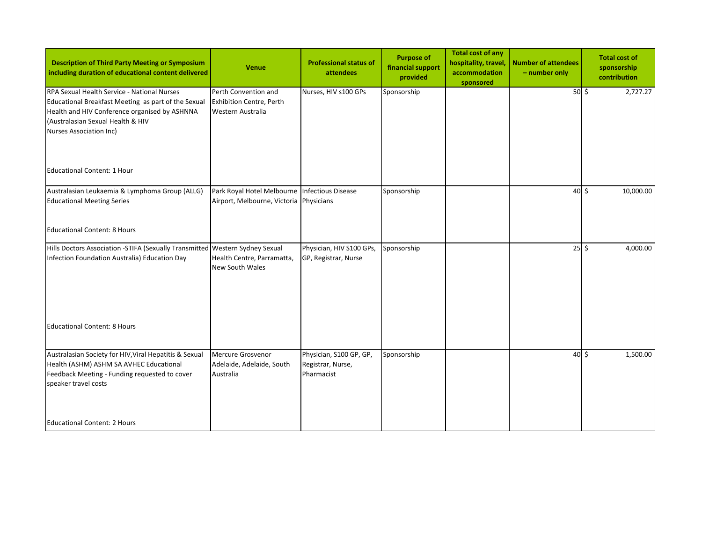| <b>Description of Third Party Meeting or Symposium</b><br>including duration of educational content delivered                                                                                                       | <b>Venue</b>                                                                             | <b>Professional status of</b><br>attendees                 | <b>Purpose of</b><br>financial support<br>provided | <b>Total cost of any</b><br>hospitality, travel,<br>accommodation<br>sponsored | <b>Number of attendees</b><br>- number only | <b>Total cost of</b><br>sponsorship<br>contribution |           |
|---------------------------------------------------------------------------------------------------------------------------------------------------------------------------------------------------------------------|------------------------------------------------------------------------------------------|------------------------------------------------------------|----------------------------------------------------|--------------------------------------------------------------------------------|---------------------------------------------|-----------------------------------------------------|-----------|
| RPA Sexual Health Service - National Nurses<br>Educational Breakfast Meeting as part of the Sexual<br>Health and HIV Conference organised by ASHNNA<br>(Australasian Sexual Health & HIV<br>Nurses Association Inc) | Perth Convention and<br><b>Exhibition Centre, Perth</b><br>Western Australia             | Nurses, HIV s100 GPs                                       | Sponsorship                                        |                                                                                | $50$ \$                                     |                                                     | 2,727.27  |
| <b>Educational Content: 1 Hour</b>                                                                                                                                                                                  |                                                                                          |                                                            |                                                    |                                                                                |                                             |                                                     |           |
| Australasian Leukaemia & Lymphoma Group (ALLG)<br><b>Educational Meeting Series</b>                                                                                                                                 | Park Royal Hotel Melbourne Infectious Disease<br>Airport, Melbourne, Victoria Physicians |                                                            | Sponsorship                                        |                                                                                | $40\overline{\smash{5}}$                    |                                                     | 10,000.00 |
| <b>Educational Content: 8 Hours</b>                                                                                                                                                                                 |                                                                                          |                                                            |                                                    |                                                                                |                                             |                                                     |           |
| Hills Doctors Association -STIFA (Sexually Transmitted Western Sydney Sexual<br>Infection Foundation Australia) Education Day                                                                                       | Health Centre, Parramatta,<br><b>New South Wales</b>                                     | Physician, HIV S100 GPs,<br>GP, Registrar, Nurse           | Sponsorship                                        |                                                                                | $25\frac{1}{2}$                             |                                                     | 4,000.00  |
| <b>Educational Content: 8 Hours</b>                                                                                                                                                                                 |                                                                                          |                                                            |                                                    |                                                                                |                                             |                                                     |           |
| Australasian Society for HIV, Viral Hepatitis & Sexual<br>Health (ASHM) ASHM SA AVHEC Educational<br>Feedback Meeting - Funding requested to cover<br>speaker travel costs                                          | Mercure Grosvenor<br>Adelaide, Adelaide, South<br>Australia                              | Physician, S100 GP, GP,<br>Registrar, Nurse,<br>Pharmacist | Sponsorship                                        |                                                                                | $40\overline{\smash{5}}$                    |                                                     | 1,500.00  |
| <b>Educational Content: 2 Hours</b>                                                                                                                                                                                 |                                                                                          |                                                            |                                                    |                                                                                |                                             |                                                     |           |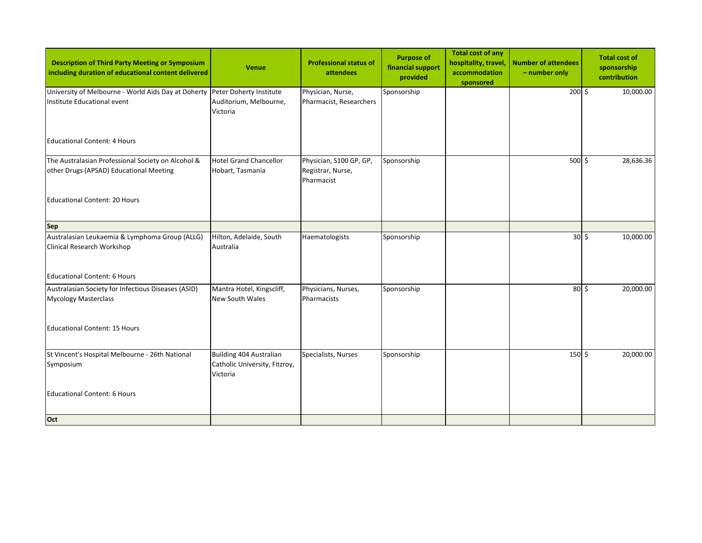| <b>Description of Third Party Meeting or Symposium</b><br>including duration of educational content delivered | <b>Venue</b>                                                         | <b>Professional status of</b><br>attendees                 | <b>Purpose of</b><br>financial support<br>provided | <b>Total cost of any</b><br>hospitality, travel,<br>accommodation<br>sponsored | <b>Number of attendees</b><br>- number only | <b>Total cost of</b><br>sponsorship<br>contribution |
|---------------------------------------------------------------------------------------------------------------|----------------------------------------------------------------------|------------------------------------------------------------|----------------------------------------------------|--------------------------------------------------------------------------------|---------------------------------------------|-----------------------------------------------------|
| University of Melbourne - World Aids Day at Doherty Peter Doherty Institute<br>Institute Educational event    | Auditorium, Melbourne,<br>Victoria                                   | Physician, Nurse,<br>Pharmacist, Researchers               | Sponsorship                                        |                                                                                | $200 \div$                                  | 10,000.00                                           |
| <b>Educational Content: 4 Hours</b>                                                                           |                                                                      |                                                            |                                                    |                                                                                |                                             |                                                     |
| The Australasian Professional Society on Alcohol &<br>other Drugs (APSAD) Educational Meeting                 | Hotel Grand Chancellor<br>Hobart, Tasmania                           | Physician, S100 GP, GP,<br>Registrar, Nurse,<br>Pharmacist | Sponsorship                                        |                                                                                | $500 \div$                                  | 28,636.36                                           |
| Educational Content: 20 Hours                                                                                 |                                                                      |                                                            |                                                    |                                                                                |                                             |                                                     |
| <b>Sep</b>                                                                                                    |                                                                      |                                                            |                                                    |                                                                                |                                             |                                                     |
| Australasian Leukaemia & Lymphoma Group (ALLG)<br>Clinical Research Workshop                                  | Hilton, Adelaide, South<br>Australia                                 | Haematologists                                             | Sponsorship                                        |                                                                                | $\overline{30}$ \$                          | 10,000.00                                           |
| <b>Educational Content: 6 Hours</b>                                                                           |                                                                      |                                                            |                                                    |                                                                                |                                             |                                                     |
| Australasian Society for Infectious Diseases (ASID)<br><b>Mycology Masterclass</b>                            | Mantra Hotel, Kingscliff,<br><b>New South Wales</b>                  | Physicians, Nurses,<br>Pharmacists                         | Sponsorship                                        |                                                                                | $80\frac{1}{2}$                             | 20,000.00                                           |
| <b>Educational Content: 15 Hours</b>                                                                          |                                                                      |                                                            |                                                    |                                                                                |                                             |                                                     |
| St Vincent's Hospital Melbourne - 26th National<br>Symposium                                                  | Building 404 Australian<br>Catholic University, Fitzroy,<br>Victoria | Specialists, Nurses                                        | Sponsorship                                        |                                                                                | $150 \;$ \$                                 | 20,000.00                                           |
| <b>Educational Content: 6 Hours</b>                                                                           |                                                                      |                                                            |                                                    |                                                                                |                                             |                                                     |
| Oct                                                                                                           |                                                                      |                                                            |                                                    |                                                                                |                                             |                                                     |